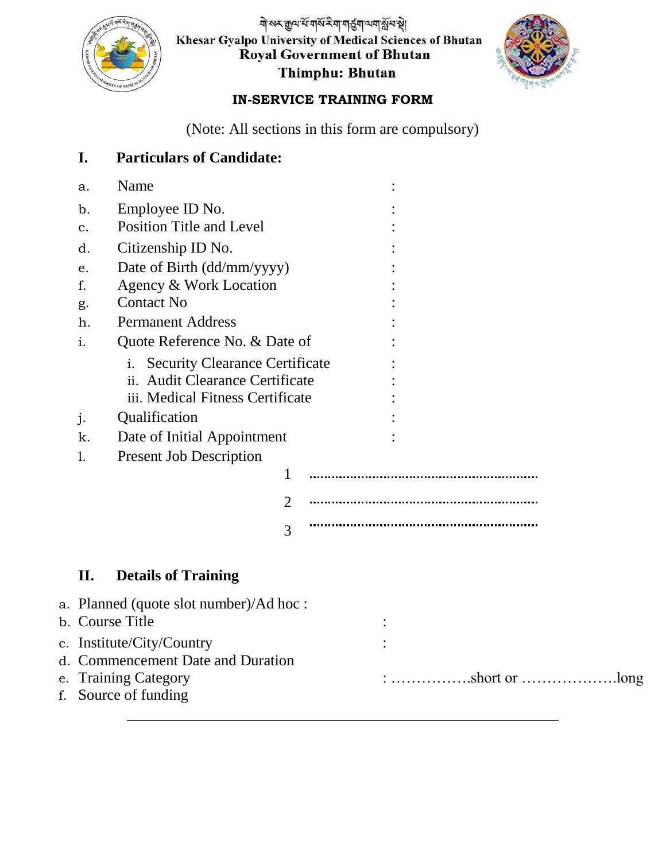

<u>गेरूर क</u>ुव रें गर्के रेग गर्डुग व्यंग क्षेत्र है। Khesar Gyalpo University of Medical Sciences of Bhutan<br>Royal Government of Bhutan Thimphu: Bhutan



## **IN-SERVICE TRAINING FORM**

(Note: All sections in this form are compulsory)

|                                              | I.                                     | <b>Particulars of Candidate:</b>            |                |                                                                                             |  |  |  |  |
|----------------------------------------------|----------------------------------------|---------------------------------------------|----------------|---------------------------------------------------------------------------------------------|--|--|--|--|
|                                              | a.                                     | Name                                        |                |                                                                                             |  |  |  |  |
|                                              | b.                                     | Employee ID No.                             |                |                                                                                             |  |  |  |  |
|                                              | $\mathbf{C}$ .                         | Position Title and Level                    |                |                                                                                             |  |  |  |  |
|                                              | d.                                     | Citizenship ID No.                          |                |                                                                                             |  |  |  |  |
|                                              | e.                                     | Date of Birth (dd/mm/yyyy)                  |                |                                                                                             |  |  |  |  |
|                                              | f.                                     | Agency & Work Location                      |                |                                                                                             |  |  |  |  |
|                                              | g.                                     | <b>Contact No</b>                           |                |                                                                                             |  |  |  |  |
|                                              | h.                                     | <b>Permanent Address</b>                    |                |                                                                                             |  |  |  |  |
|                                              | Quote Reference No. & Date of<br>i.    |                                             |                |                                                                                             |  |  |  |  |
|                                              |                                        | <b>Security Clearance Certificate</b><br>i. |                |                                                                                             |  |  |  |  |
|                                              |                                        | ii. Audit Clearance Certificate             |                |                                                                                             |  |  |  |  |
|                                              | iii. Medical Fitness Certificate       |                                             |                |                                                                                             |  |  |  |  |
|                                              | j.                                     | Qualification                               |                |                                                                                             |  |  |  |  |
|                                              | k.                                     | Date of Initial Appointment                 |                |                                                                                             |  |  |  |  |
|                                              | 1.                                     | <b>Present Job Description</b>              |                |                                                                                             |  |  |  |  |
|                                              |                                        |                                             | 1              |                                                                                             |  |  |  |  |
|                                              |                                        |                                             | $\overline{2}$ |                                                                                             |  |  |  |  |
|                                              |                                        |                                             | 3              |                                                                                             |  |  |  |  |
|                                              | II.                                    | <b>Details of Training</b>                  |                |                                                                                             |  |  |  |  |
|                                              |                                        |                                             |                |                                                                                             |  |  |  |  |
|                                              | a. Planned (quote slot number)/Ad hoc: |                                             |                |                                                                                             |  |  |  |  |
|                                              |                                        | b. Course Title                             |                |                                                                                             |  |  |  |  |
|                                              | c. Institute/City/Country              |                                             |                |                                                                                             |  |  |  |  |
|                                              | d. Commencement Date and Duration      |                                             |                |                                                                                             |  |  |  |  |
| e. Training Category<br>f. Source of funding |                                        |                                             |                | $: \ldots \ldots \ldots \ldots \ldots$ short or $\ldots \ldots \ldots \ldots \ldots \ldots$ |  |  |  |  |
|                                              |                                        |                                             |                |                                                                                             |  |  |  |  |
|                                              |                                        |                                             |                |                                                                                             |  |  |  |  |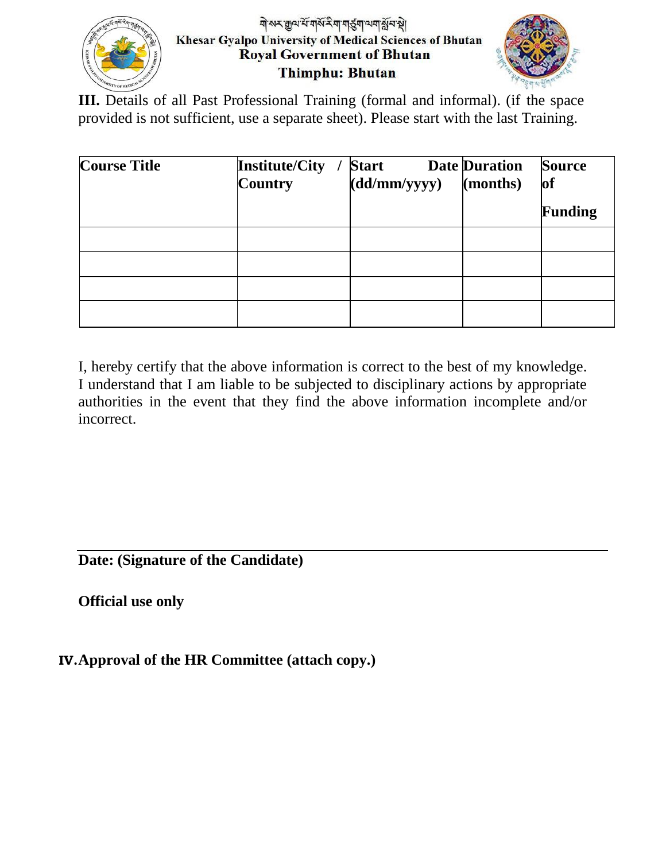

## गोरुर कुल रें गोरें रैग गईग लग रें न थे। Khesar Gyalpo University of Medical Sciences of Bhutan **Royal Government of Bhutan** Thimphu: Bhutan



III. Details of all Past Professional Training (formal and informal). (if the space provided is not sufficient, use a separate sheet). Please start with the last Training.

| <b>Course Title</b> | <b>Institute/City</b><br><b>Country</b> | <b>Start</b><br>(d d/mm/yyyy) | <b>Date Duration</b><br>(months) | <b>Source</b><br>of<br><b>Funding</b> |
|---------------------|-----------------------------------------|-------------------------------|----------------------------------|---------------------------------------|
|                     |                                         |                               |                                  |                                       |
|                     |                                         |                               |                                  |                                       |
|                     |                                         |                               |                                  |                                       |
|                     |                                         |                               |                                  |                                       |

I, hereby certify that the above information is correct to the best of my knowledge. I understand that I am liable to be subjected to disciplinary actions by appropriate authorities in the event that they find the above information incomplete and/or incorrect.

**Date: (Signature of the Candidate)**

**Official use only**

**IV.Approval of the HR Committee (attach copy.)**